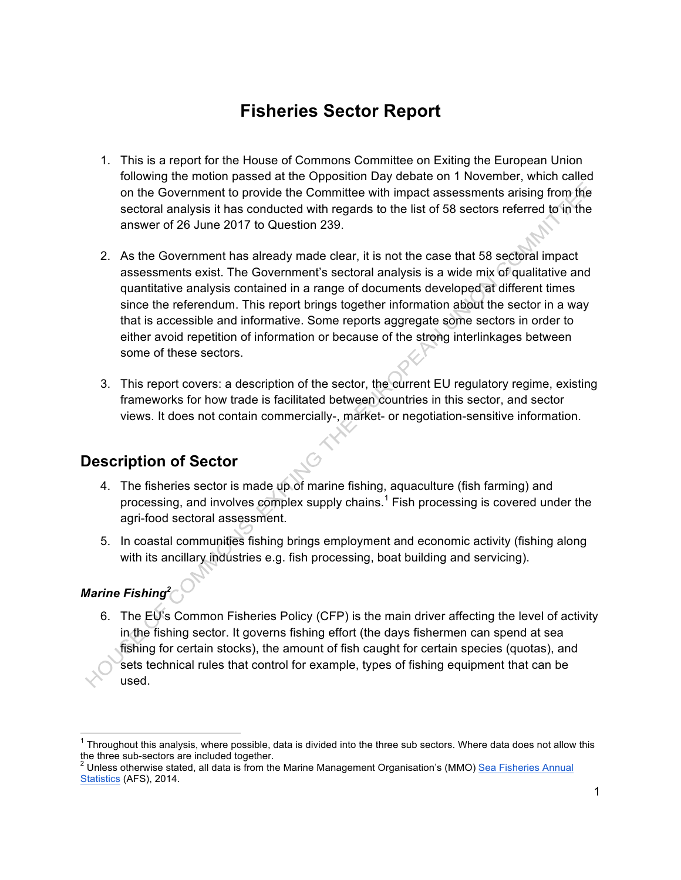# **Fisheries Sector Report**

- 1. This is a report for the House of Commons Committee on Exiting the European Union following the motion passed at the Opposition Day debate on 1 November, which called on the Government to provide the Committee with impact assessments arising from the sectoral analysis it has conducted with regards to the list of 58 sectors referred to in the answer of 26 June 2017 to Question 239.
- 2. As the Government has already made clear, it is not the case that 58 sectoral impact assessments exist. The Government's sectoral analysis is a wide mix of qualitative and quantitative analysis contained in a range of documents developed at different times since the referendum. This report brings together information about the sector in a way that is accessible and informative. Some reports aggregate some sectors in order to either avoid repetition of information or because of the strong interlinkages between some of these sectors.
- 3. This report covers: a description of the sector, the current EU regulatory regime, existing frameworks for how trade is facilitated between countries in this sector, and sector views. It does not contain commercially-, market- or negotiation-sensitive information.

## **Description of Sector**

- 4. The fisheries sector is made up of marine fishing, aquaculture (fish farming) and processing, and involves complex supply chains.<sup>1</sup> Fish processing is covered under the agri-food sectoral assessment.
- 5. In coastal communities fishing brings employment and economic activity (fishing along with its ancillary industries e.g. fish processing, boat building and servicing).

## *Marine Fishing2*

6. The EU's Common Fisheries Policy (CFP) is the main driver affecting the level of activity in the fishing sector. It governs fishing effort (the days fishermen can spend at sea fishing for certain stocks), the amount of fish caught for certain species (quotas), and sets technical rules that control for example, types of fishing equipment that can be used.

 $1$  Throughout this analysis, where possible, data is divided into the three sub sectors. Where data does not allow this the three sub-sectors are included together.<br><sup>2</sup> Unless otherwise stated, all data is from the Marine Management Organisation's (MMO) Sea Fisheries Annual

Statistics (AFS), 2014.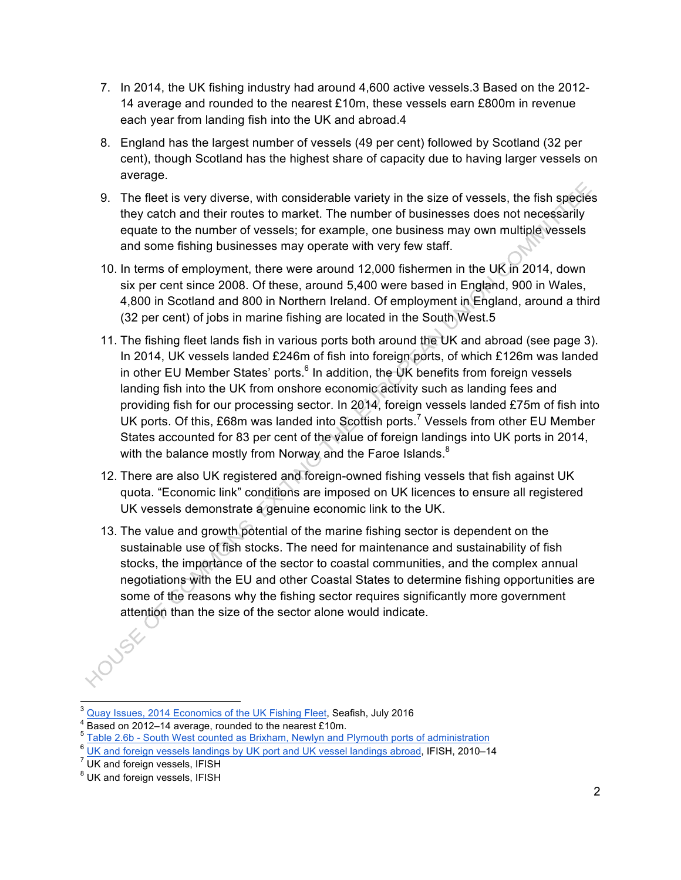- 7. In 2014, the UK fishing industry had around 4,600 active vessels.3 Based on the 2012- 14 average and rounded to the nearest £10m, these vessels earn £800m in revenue each year from landing fish into the UK and abroad.4
- 8. England has the largest number of vessels (49 per cent) followed by Scotland (32 per cent), though Scotland has the highest share of capacity due to having larger vessels on average.
- 9. The fleet is very diverse, with considerable variety in the size of vessels, the fish species they catch and their routes to market. The number of businesses does not necessarily equate to the number of vessels; for example, one business may own multiple vessels and some fishing businesses may operate with very few staff.
- 10. In terms of employment, there were around 12,000 fishermen in the UK in 2014, down six per cent since 2008. Of these, around 5,400 were based in England, 900 in Wales, 4,800 in Scotland and 800 in Northern Ireland. Of employment in England, around a third (32 per cent) of jobs in marine fishing are located in the South West.5
- 11. The fishing fleet lands fish in various ports both around the UK and abroad (see page 3). In 2014, UK vessels landed £246m of fish into foreign ports, of which £126m was landed in other EU Member States' ports. $6$  In addition, the UK benefits from foreign vessels landing fish into the UK from onshore economic activity such as landing fees and providing fish for our processing sector. In 2014, foreign vessels landed £75m of fish into UK ports. Of this,  $£68m$  was landed into Scottish ports.<sup>7</sup> Vessels from other EU Member States accounted for 83 per cent of the value of foreign landings into UK ports in 2014, with the balance mostly from Norway and the Faroe Islands. $8$
- 12. There are also UK registered and foreign-owned fishing vessels that fish against UK quota. "Economic link" conditions are imposed on UK licences to ensure all registered UK vessels demonstrate a genuine economic link to the UK.
- 13. The value and growth potential of the marine fishing sector is dependent on the sustainable use of fish stocks. The need for maintenance and sustainability of fish stocks, the importance of the sector to coastal communities, and the complex annual negotiations with the EU and other Coastal States to determine fishing opportunities are some of the reasons why the fishing sector requires significantly more government attention than the size of the sector alone would indicate.

 <sup>3</sup> Quay Issues, 2014 Economics of the UK Fishing Fleet, Seafish, July 2016

<sup>&</sup>lt;sup>4</sup> Based on 2012–14 average, rounded to the nearest £10m.<br> $5$  Table 2.6b - South West counted as Brixham, Newlyn and Plymouth ports of administration

<sup>6</sup> UK and foreign vessels landings by UK port and UK vessel landings abroad, IFISH, 2010–14

 $<sup>7</sup>$  UK and foreign vessels, IFISH</sup>

<sup>&</sup>lt;sup>8</sup> UK and foreign vessels, IFISH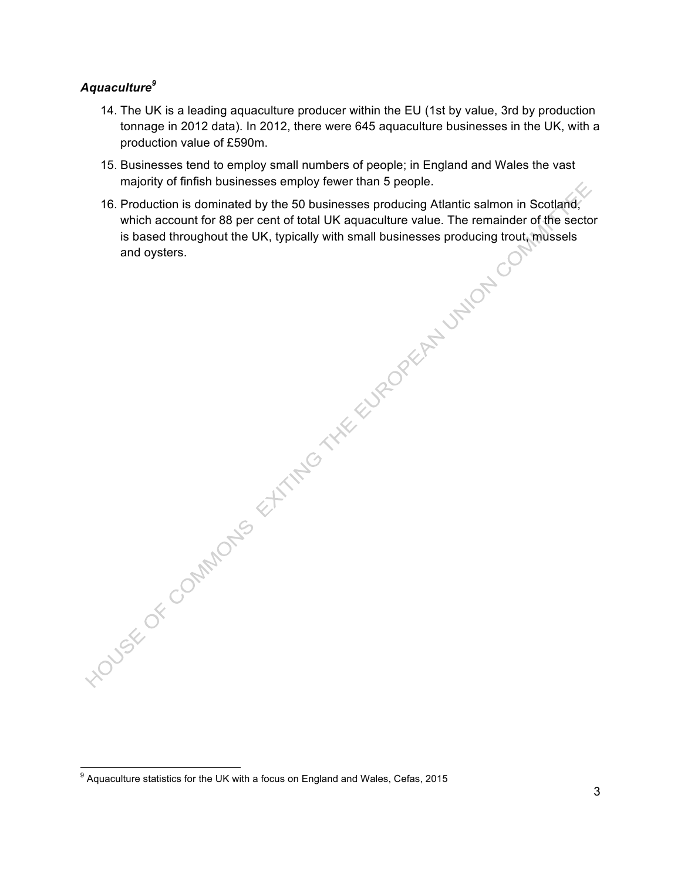#### *Aquaculture<sup>9</sup>*

- 14. The UK is a leading aquaculture producer within the EU (1st by value, 3rd by production tonnage in 2012 data). In 2012, there were 645 aquaculture businesses in the UK, with a production value of £590m.
- 15. Businesses tend to employ small numbers of people; in England and Wales the vast majority of finfish businesses employ fewer than 5 people.
- 16. Production is dominated by the 50 businesses producing Atlantic salmon in Scotland, which account for 88 per cent of total UK aquaculture value. The remainder of the sector is based throughout the UK, typically with small businesses producing trout, mussels HOUSE OF COMMONS STATING THE EUROPEAN UNION

 $9$  Aquaculture statistics for the UK with a focus on England and Wales, Cefas, 2015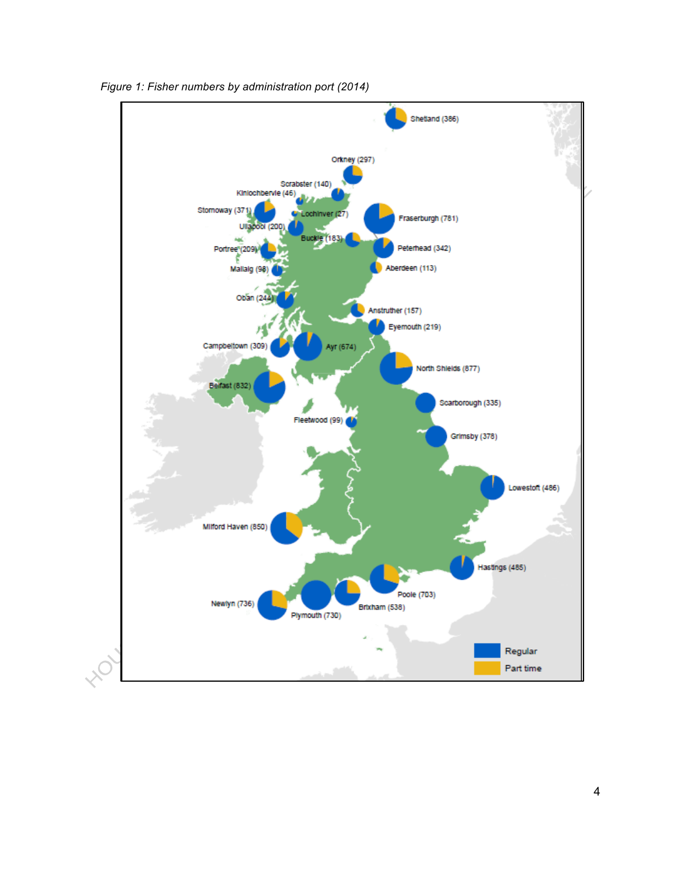

*Figure 1: Fisher numbers by administration port (2014)*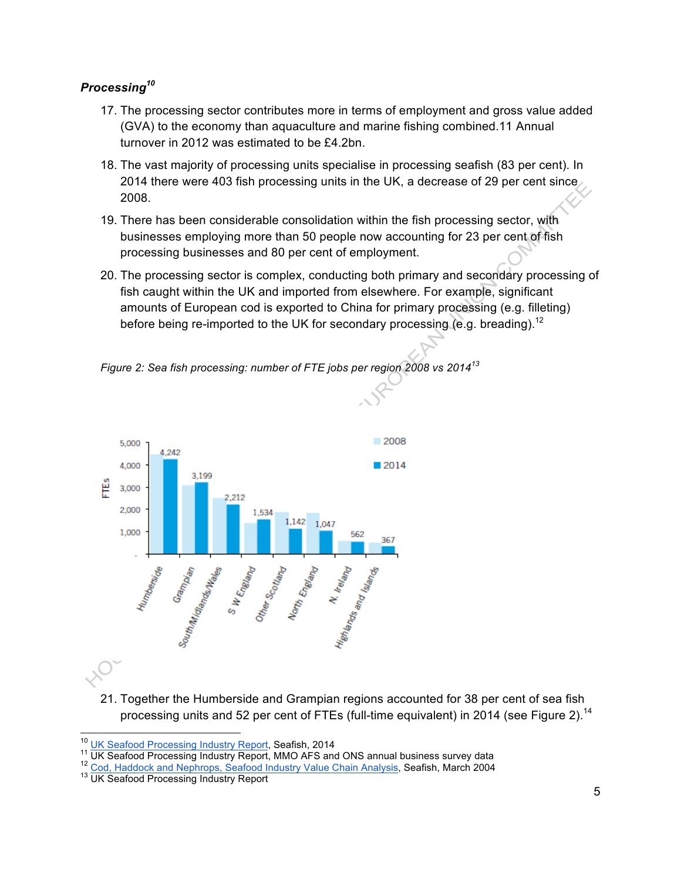## *Processing<sup>10</sup>*

- 17. The processing sector contributes more in terms of employment and gross value added (GVA) to the economy than aquaculture and marine fishing combined.11 Annual turnover in 2012 was estimated to be £4.2bn.
- 18. The vast majority of processing units specialise in processing seafish (83 per cent). In 2014 there were 403 fish processing units in the UK, a decrease of 29 per cent since 2008.
- 19. There has been considerable consolidation within the fish processing sector, with businesses employing more than 50 people now accounting for 23 per cent of fish processing businesses and 80 per cent of employment.
- 20. The processing sector is complex, conducting both primary and secondary processing of fish caught within the UK and imported from elsewhere. For example, significant amounts of European cod is exported to China for primary processing (e.g. filleting) before being re-imported to the UK for secondary processing (e.g. breading).<sup>12</sup>

*Figure 2: Sea fish processing: number of FTE jobs per region 2008 vs 2014<sup>13</sup>*



21. Together the Humberside and Grampian regions accounted for 38 per cent of sea fish processing units and 52 per cent of FTEs (full-time equivalent) in 2014 (see Figure 2).<sup>14</sup>

<sup>&</sup>lt;sup>10</sup> UK Seafood Processing Industry Report, Seafish, 2014<br><sup>11</sup> UK Seafood Processing Industry Report, MMO AFS and ONS annual business survey data<br><sup>12</sup> Cod, Haddock and Nephrops, Seafood Industry Value Chain Analysis, Seafi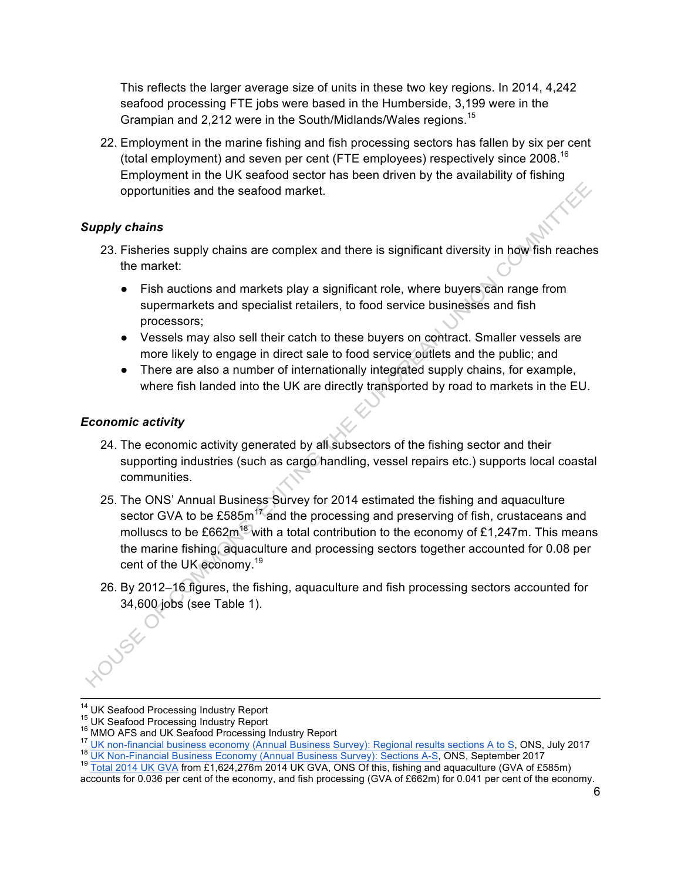This reflects the larger average size of units in these two key regions. In 2014, 4,242 seafood processing FTE jobs were based in the Humberside, 3,199 were in the Grampian and 2,212 were in the South/Midlands/Wales regions.<sup>15</sup>

22. Employment in the marine fishing and fish processing sectors has fallen by six per cent (total employment) and seven per cent (FTE employees) respectively since  $2008$ .<sup>16</sup> Employment in the UK seafood sector has been driven by the availability of fishing opportunities and the seafood market.

## *Supply chains*

- 23. Fisheries supply chains are complex and there is significant diversity in how fish reaches the market:
	- Fish auctions and markets play a significant role, where buyers can range from supermarkets and specialist retailers, to food service businesses and fish processors;
	- Vessels may also sell their catch to these buyers on contract. Smaller vessels are more likely to engage in direct sale to food service outlets and the public; and
	- There are also a number of internationally integrated supply chains, for example, where fish landed into the UK are directly transported by road to markets in the EU.

#### *Economic activity*

- 24. The economic activity generated by all subsectors of the fishing sector and their supporting industries (such as cargo handling, vessel repairs etc.) supports local coastal communities.
- 25. The ONS' Annual Business Survey for 2014 estimated the fishing and aquaculture sector GVA to be £585 $m^{17}$  and the processing and preserving of fish, crustaceans and molluscs to be £662 $m^{18}$  with a total contribution to the economy of £1,247m. This means the marine fishing, aquaculture and processing sectors together accounted for 0.08 per cent of the UK economy.<sup>19</sup>
- 26. By 2012–16 figures, the fishing, aquaculture and fish processing sectors accounted for 34,600 jobs (see Table 1).

<sup>&</sup>lt;sup>14</sup> UK Seafood Processing Industry Report<br><sup>15</sup> UK Seafood Processing Industry Report<br><sup>16</sup> MMO AFS and UK Seafood Processing Industry Report<br><sup>17</sup> UK non-financial business economy (Annual Business Survey): Regional results

accounts for 0.036 per cent of the economy, and fish processing (GVA of £662m) for 0.041 per cent of the economy.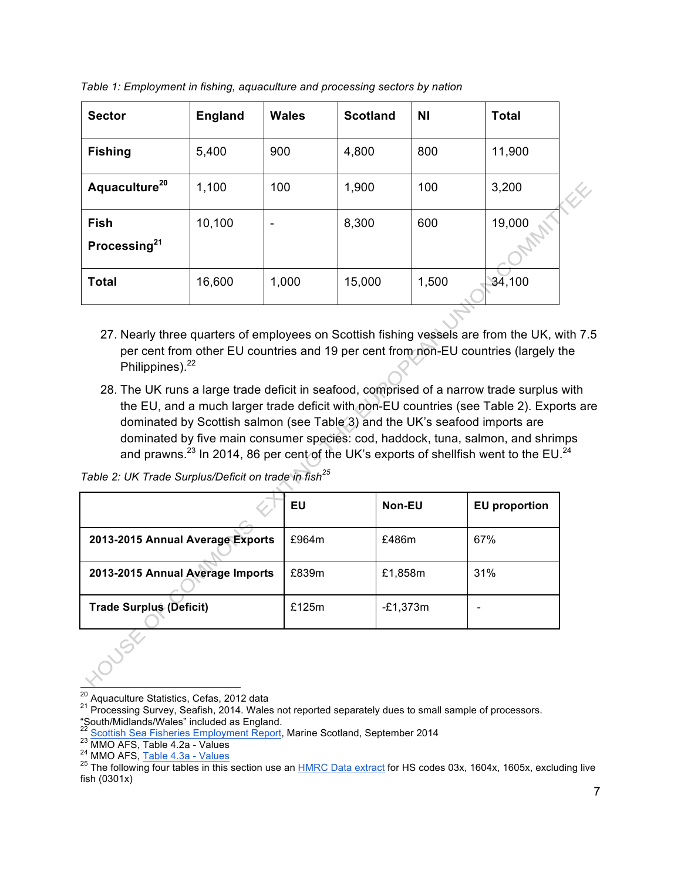| <b>Sector</b>             | <b>England</b> | <b>Wales</b> | <b>Scotland</b> | <b>NI</b> | <b>Total</b> |  |
|---------------------------|----------------|--------------|-----------------|-----------|--------------|--|
| <b>Fishing</b>            | 5,400          | 900          | 4,800           | 800       | 11,900       |  |
| Aquaculture <sup>20</sup> | 1,100          | 100          | 1,900           | 100       | 3,200        |  |
| Fish                      | 10,100         | -            | 8,300           | 600       | 19,000       |  |
| Processing <sup>21</sup>  |                |              |                 |           |              |  |
| <b>Total</b>              | 16,600         | 1,000        | 15,000          | 1,500     | 34,100       |  |

*Table 1: Employment in fishing, aquaculture and processing sectors by nation*

- 27. Nearly three quarters of employees on Scottish fishing vessels are from the UK, with 7.5 per cent from other EU countries and 19 per cent from non-EU countries (largely the Philippines).<sup>22</sup>
- 28. The UK runs a large trade deficit in seafood, comprised of a narrow trade surplus with the EU, and a much larger trade deficit with non-EU countries (see Table 2). Exports are dominated by Scottish salmon (see Table 3) and the UK's seafood imports are dominated by five main consumer species: cod, haddock, tuna, salmon, and shrimps and prawns.<sup>23</sup> In 2014, 86 per cent of the UK's exports of shellfish went to the EU.<sup>24</sup>

*Table 2: UK Trade Surplus/Deficit on trade in fish<sup>25</sup>*

|                                  | EU       | Non-EU   | <b>EU</b> proportion |
|----------------------------------|----------|----------|----------------------|
| 2013-2015 Annual Average Exports | £964m    | £486m    | 67%                  |
| 2013-2015 Annual Average Imports | £839m    | £1,858m  | 31%                  |
| <b>Trade Surplus (Deficit)</b>   | £125 $m$ | -£1,373m |                      |

<sup>&</sup>lt;sup>20</sup> Aquaculture Statistics, Cefas, 2012 data<br><sup>21</sup> Processing Survey, Seafish, 2014. Wales not reported separately dues to small sample of processors.

<sup>&</sup>quot;South/Midlands/Wales" included as England.<br>"South/Midlands/Wales" included as England.<br>22 Scottish Sea Fisheries Employment Report, Marine Scotland, September 2014

<sup>&</sup>lt;sup>23</sup> MMO AFS, Table 4.2a - Values<br><sup>24</sup> MMO AFS, Table 4.3a - Values<br><sup>24</sup> MMO AFS, <u>Table 4.3a - Values</u><br><sup>25</sup> The following four tables in this section use an <u>HMRC Data extract</u> for HS codes 03x, 1604x, 1605x, excluding li fish (0301x)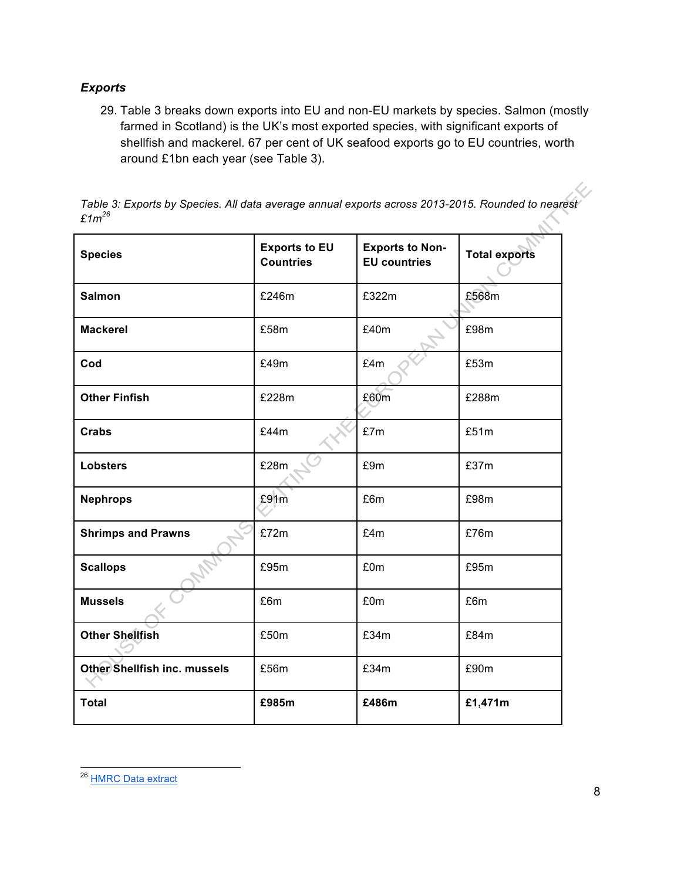## *Exports*

29. Table 3 breaks down exports into EU and non-EU markets by species. Salmon (mostly farmed in Scotland) is the UK's most exported species, with significant exports of shellfish and mackerel. 67 per cent of UK seafood exports go to EU countries, worth around £1bn each year (see Table 3).

*Table 3: Exports by Species. All data average annual exports across 2013-2015. Rounded to nearest £1m<sup>26</sup>*  $\mathcal{L}$ 

| <b>Species</b>               | <b>Exports to EU</b><br><b>Countries</b> | <b>Exports to Non-</b><br><b>EU</b> countries | <b>Total exports</b> |
|------------------------------|------------------------------------------|-----------------------------------------------|----------------------|
| <b>Salmon</b>                | £246m                                    | £322m                                         | £568m                |
| <b>Mackerel</b>              | £58m                                     | £40m                                          | £98m                 |
| Cod                          | £49m                                     | £4m                                           | £53m                 |
| <b>Other Finfish</b>         | £228m                                    | £60m                                          | £288m                |
| Crabs                        | £44m                                     | £7m                                           | £51m                 |
| <b>Lobsters</b>              | £28m                                     | £9m                                           | £37m                 |
| <b>Nephrops</b>              | £91m                                     | £6m                                           | £98m                 |
| <b>Shrimps and Prawns</b>    | £72m                                     | £4m                                           | £76m                 |
| <b>Scallops</b>              | £95m                                     | £0m                                           | £95m                 |
| <b>Mussels</b>               | £6m                                      | £0m                                           | £6m                  |
| <b>Other Shellfish</b>       | £50m                                     | £34m                                          | £84m                 |
| Other Shellfish inc. mussels | £56m                                     | £34m                                          | £90m                 |
| <b>Total</b>                 | £985m                                    | £486m                                         | £1,471m              |

<sup>&</sup>lt;sup>26</sup> HMRC Data extract

L)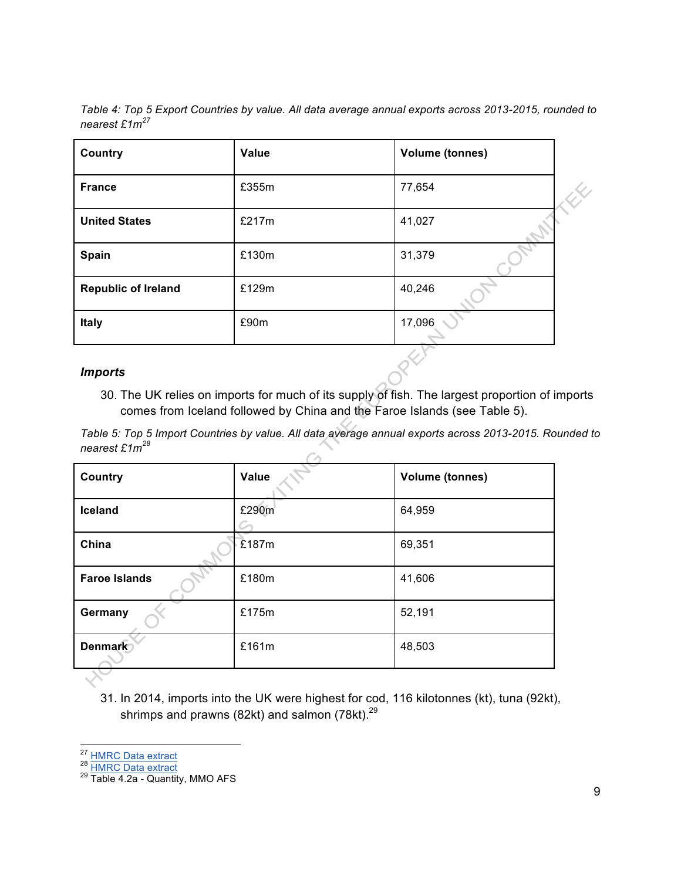*Table 4: Top 5 Export Countries by value. All data average annual exports across 2013-2015, rounded to nearest £1m<sup>27</sup>*

| <b>Country</b>             | Value | <b>Volume (tonnes)</b> |
|----------------------------|-------|------------------------|
| <b>France</b>              | £355m | 77,654                 |
| <b>United States</b>       | £217m | 41,027                 |
| Spain                      | £130m | 31,379                 |
| <b>Republic of Ireland</b> | £129m | 40,246                 |
| Italy                      | £90m  | 17,096                 |
| <b>Imports</b>             |       |                        |

#### *Imports*

30. The UK relies on imports for much of its supply of fish. The largest proportion of imports comes from Iceland followed by China and the Faroe Islands (see Table 5).

*Table 5: Top 5 Import Countries by value. All data average annual exports across 2013-2015. Rounded to nearest £1m<sup>28</sup>*

| Country              | Value       | <b>Volume (tonnes)</b> |
|----------------------|-------------|------------------------|
| Iceland              | £290m<br>C- | 64,959                 |
| China                | E187m       | 69,351                 |
| <b>Faroe Islands</b> | £180m       | 41,606                 |
| Germany              | £175m       | 52,191                 |
| <b>Denmark</b>       | £161m       | 48,503                 |
|                      |             |                        |

31. In 2014, imports into the UK were highest for cod, 116 kilotonnes (kt), tuna (92kt), shrimps and prawns (82kt) and salmon (78kt). $^{29}$ 

<sup>27</sup> HMRC Data extract<br>
<sup>28</sup> HMRC Data extract<br>
<sup>29</sup> Table 4.2a - Quantity, MMO AFS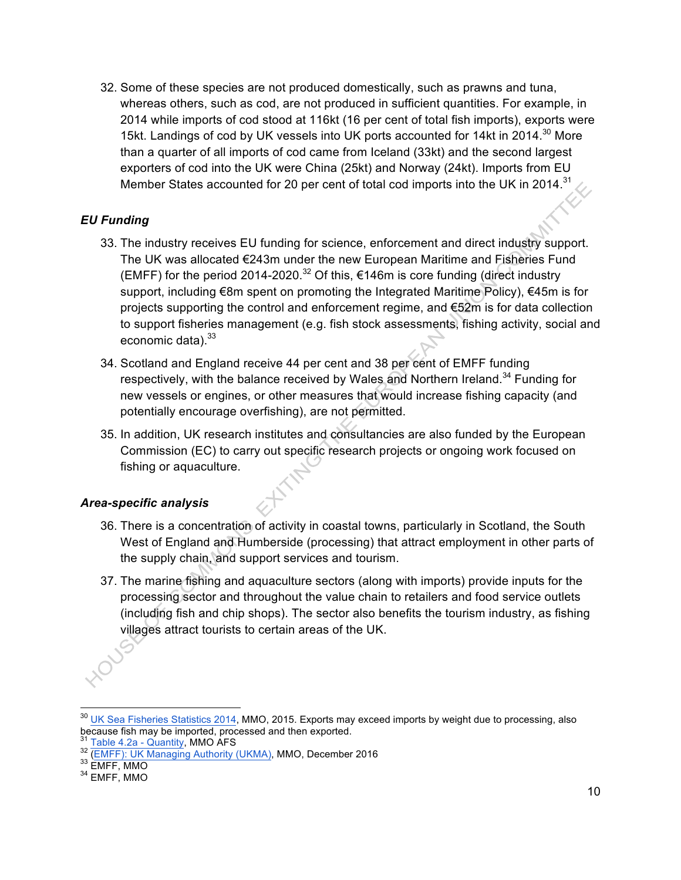32. Some of these species are not produced domestically, such as prawns and tuna, whereas others, such as cod, are not produced in sufficient quantities. For example, in 2014 while imports of cod stood at 116kt (16 per cent of total fish imports), exports were 15kt. Landings of cod by UK vessels into UK ports accounted for 14kt in 2014.<sup>30</sup> More than a quarter of all imports of cod came from Iceland (33kt) and the second largest exporters of cod into the UK were China (25kt) and Norway (24kt). Imports from EU Member States accounted for 20 per cent of total cod imports into the UK in 2014.<sup>31</sup>

## *EU Funding*

- 33. The industry receives EU funding for science, enforcement and direct industry support. The UK was allocated €243m under the new European Maritime and Fisheries Fund (EMFF) for the period 2014-2020.<sup>32</sup> Of this, €146m is core funding (direct industry support, including €8m spent on promoting the Integrated Maritime Policy), €45m is for projects supporting the control and enforcement regime, and €52m is for data collection to support fisheries management (e.g. fish stock assessments, fishing activity, social and economic data).<sup>33</sup>
- 34. Scotland and England receive 44 per cent and 38 per cent of EMFF funding respectively, with the balance received by Wales and Northern Ireland.<sup>34</sup> Funding for new vessels or engines, or other measures that would increase fishing capacity (and potentially encourage overfishing), are not permitted.
- 35. In addition, UK research institutes and consultancies are also funded by the European Commission (EC) to carry out specific research projects or ongoing work focused on fishing or aquaculture.

## *Area-specific analysis*

- 36. There is a concentration of activity in coastal towns, particularly in Scotland, the South West of England and Humberside (processing) that attract employment in other parts of the supply chain, and support services and tourism.
- 37. The marine fishing and aquaculture sectors (along with imports) provide inputs for the processing sector and throughout the value chain to retailers and food service outlets (including fish and chip shops). The sector also benefits the tourism industry, as fishing villages attract tourists to certain areas of the UK.

 $\frac{30}{20}$  UK Sea Fisheries Statistics 2014, MMO, 2015. Exports may exceed imports by weight due to processing, also because fish may be imported, processed and then exported.

<sup>&</sup>lt;sup>31</sup> Table 4.2a - Quantity, MMO AFS<br><sup>32</sup> (EMFF): UK Managing Authority (UKMA), MMO, December 2016<br><sup>33</sup> EMFF, MMO<br><sup>34</sup> EMFF, MMO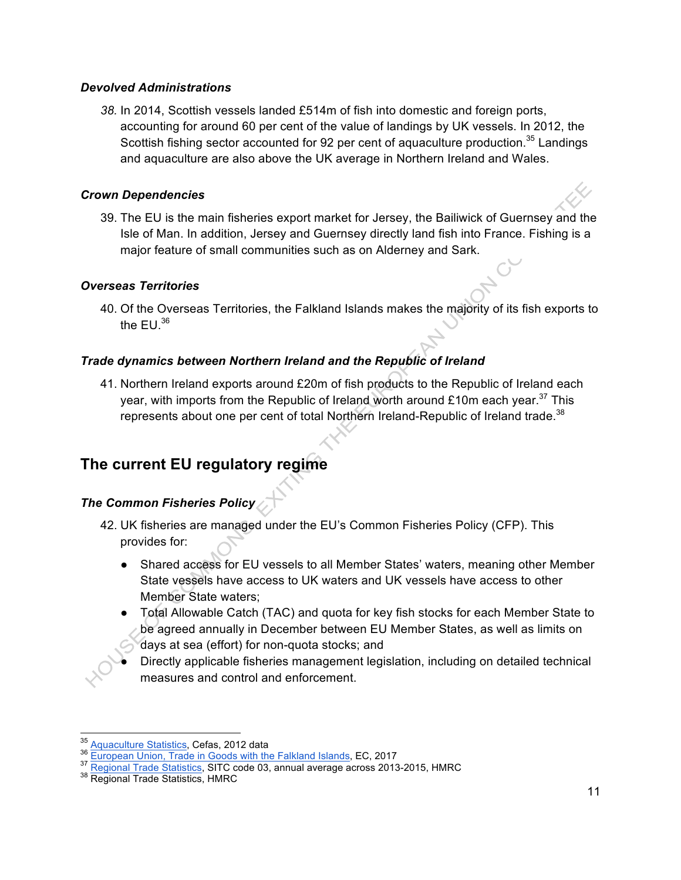#### *Devolved Administrations*

*38.* In 2014, Scottish vessels landed £514m of fish into domestic and foreign ports, accounting for around 60 per cent of the value of landings by UK vessels. In 2012, the Scottish fishing sector accounted for 92 per cent of aquaculture production.<sup>35</sup> Landings and aquaculture are also above the UK average in Northern Ireland and Wales.

#### *Crown Dependencies*

39. The EU is the main fisheries export market for Jersey, the Bailiwick of Guernsey and the Isle of Man. In addition, Jersey and Guernsey directly land fish into France. Fishing is a major feature of small communities such as on Alderney and Sark.

#### *Overseas Territories*

40. Of the Overseas Territories, the Falkland Islands makes the majority of its fish exports to the  $EU^{36}$ 

## *Trade dynamics between Northern Ireland and the Republic of Ireland*

41. Northern Ireland exports around £20m of fish products to the Republic of Ireland each year, with imports from the Republic of Ireland worth around £10m each year.<sup>37</sup> This represents about one per cent of total Northern Ireland-Republic of Ireland trade.<sup>38</sup>

## **The current EU regulatory regime**

## *The Common Fisheries Policy*

- 42. UK fisheries are managed under the EU's Common Fisheries Policy (CFP). This provides for:
	- Shared access for EU vessels to all Member States' waters, meaning other Member State vessels have access to UK waters and UK vessels have access to other Member State waters;
	- Total Allowable Catch (TAC) and quota for key fish stocks for each Member State to be agreed annually in December between EU Member States, as well as limits on days at sea (effort) for non-quota stocks; and

Directly applicable fisheries management legislation, including on detailed technical measures and control and enforcement.

<sup>&</sup>lt;sup>35</sup> Aquaculture Statistics, Cefas, 2012 data<br><sup>36</sup> European Union, Trade in Goods with the Falkland Islands, EC, 2017<br><sup>37</sup> Regional Trade Statistics, SITC code 03, annual average across 2013-2015, HMRC<br><sup>38</sup> Regional Trade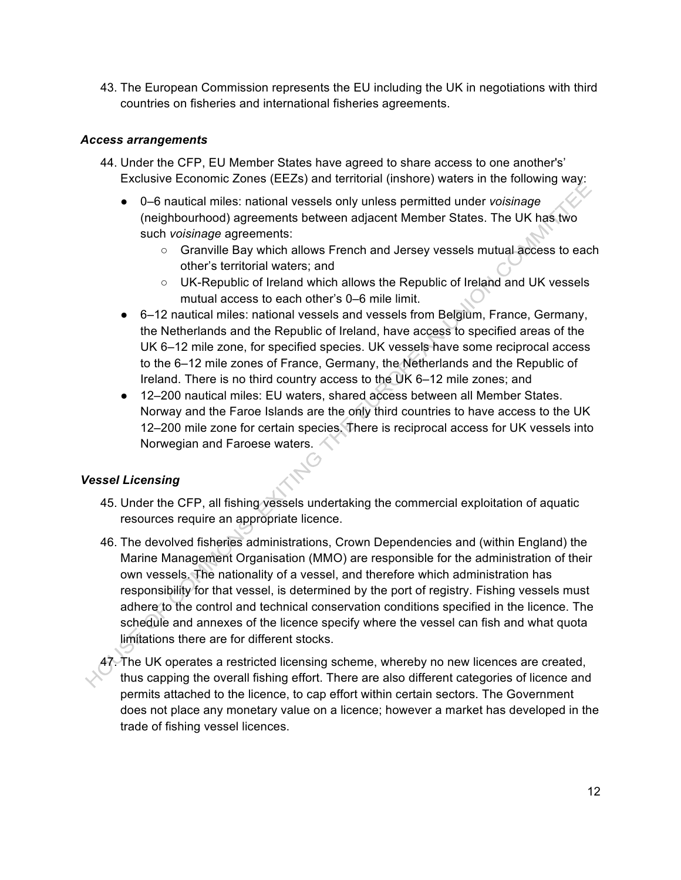43. The European Commission represents the EU including the UK in negotiations with third countries on fisheries and international fisheries agreements.

#### *Access arrangements*

- 44. Under the CFP, EU Member States have agreed to share access to one another's' Exclusive Economic Zones (EEZs) and territorial (inshore) waters in the following way:
	- 0–6 nautical miles: national vessels only unless permitted under *voisinage* (neighbourhood) agreements between adjacent Member States. The UK has two such *voisinage* agreements:
		- Granville Bay which allows French and Jersey vessels mutual access to each other's territorial waters; and
		- UK-Republic of Ireland which allows the Republic of Ireland and UK vessels mutual access to each other's 0–6 mile limit.
	- 6–12 nautical miles: national vessels and vessels from Belgium, France, Germany, the Netherlands and the Republic of Ireland, have access to specified areas of the UK 6–12 mile zone, for specified species. UK vessels have some reciprocal access to the 6–12 mile zones of France, Germany, the Netherlands and the Republic of Ireland. There is no third country access to the UK 6–12 mile zones; and
	- 12–200 nautical miles: EU waters, shared access between all Member States. Norway and the Faroe Islands are the only third countries to have access to the UK 12–200 mile zone for certain species. There is reciprocal access for UK vessels into Norwegian and Faroese waters.

## *Vessel Licensing*

- 45. Under the CFP, all fishing vessels undertaking the commercial exploitation of aquatic resources require an appropriate licence.
- 46. The devolved fisheries administrations, Crown Dependencies and (within England) the Marine Management Organisation (MMO) are responsible for the administration of their own vessels. The nationality of a vessel, and therefore which administration has responsibility for that vessel, is determined by the port of registry. Fishing vessels must adhere to the control and technical conservation conditions specified in the licence. The schedule and annexes of the licence specify where the vessel can fish and what quota limitations there are for different stocks.
- 47. The UK operates a restricted licensing scheme, whereby no new licences are created, thus capping the overall fishing effort. There are also different categories of licence and permits attached to the licence, to cap effort within certain sectors. The Government does not place any monetary value on a licence; however a market has developed in the trade of fishing vessel licences.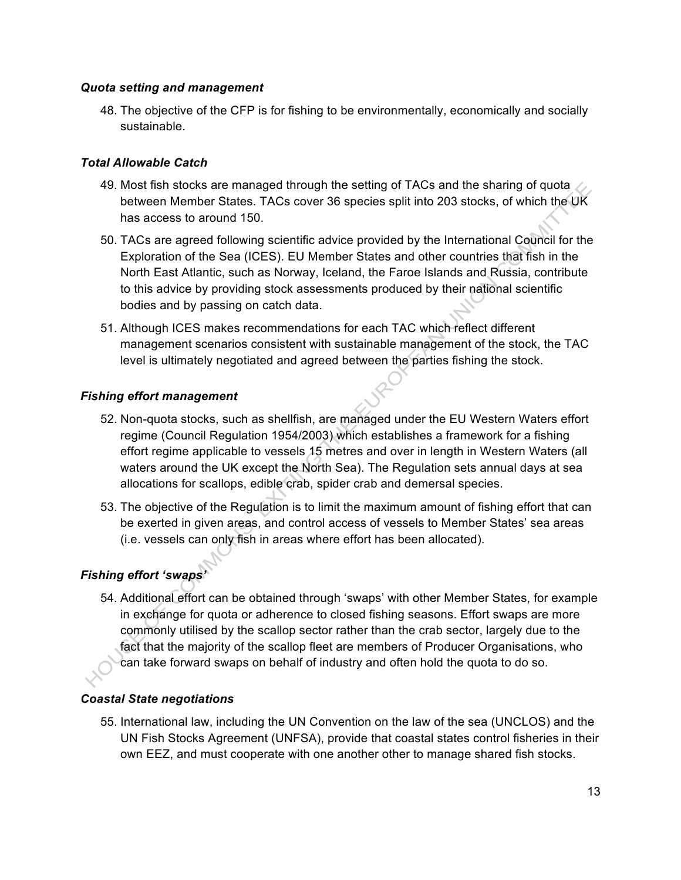#### *Quota setting and management*

48. The objective of the CFP is for fishing to be environmentally, economically and socially sustainable.

#### *Total Allowable Catch*

- 49. Most fish stocks are managed through the setting of TACs and the sharing of quota  $\angle$ between Member States. TACs cover 36 species split into 203 stocks, of which the UK has access to around 150.
- 50. TACs are agreed following scientific advice provided by the International Council for the Exploration of the Sea (ICES). EU Member States and other countries that fish in the North East Atlantic, such as Norway, Iceland, the Faroe Islands and Russia, contribute to this advice by providing stock assessments produced by their national scientific bodies and by passing on catch data.
- 51. Although ICES makes recommendations for each TAC which reflect different management scenarios consistent with sustainable management of the stock, the TAC level is ultimately negotiated and agreed between the parties fishing the stock.

#### *Fishing effort management*

- 52. Non-quota stocks, such as shellfish, are managed under the EU Western Waters effort regime (Council Regulation 1954/2003) which establishes a framework for a fishing effort regime applicable to vessels 15 metres and over in length in Western Waters (all waters around the UK except the North Sea). The Regulation sets annual days at sea allocations for scallops, edible crab, spider crab and demersal species.
- 53. The objective of the Regulation is to limit the maximum amount of fishing effort that can be exerted in given areas, and control access of vessels to Member States' sea areas (i.e. vessels can only fish in areas where effort has been allocated).

## *Fishing effort 'swaps'*

54. Additional effort can be obtained through 'swaps' with other Member States, for example in exchange for quota or adherence to closed fishing seasons. Effort swaps are more commonly utilised by the scallop sector rather than the crab sector, largely due to the fact that the majority of the scallop fleet are members of Producer Organisations, who can take forward swaps on behalf of industry and often hold the quota to do so.

## *Coastal State negotiations*

55. International law, including the UN Convention on the law of the sea (UNCLOS) and the UN Fish Stocks Agreement (UNFSA), provide that coastal states control fisheries in their own EEZ, and must cooperate with one another other to manage shared fish stocks.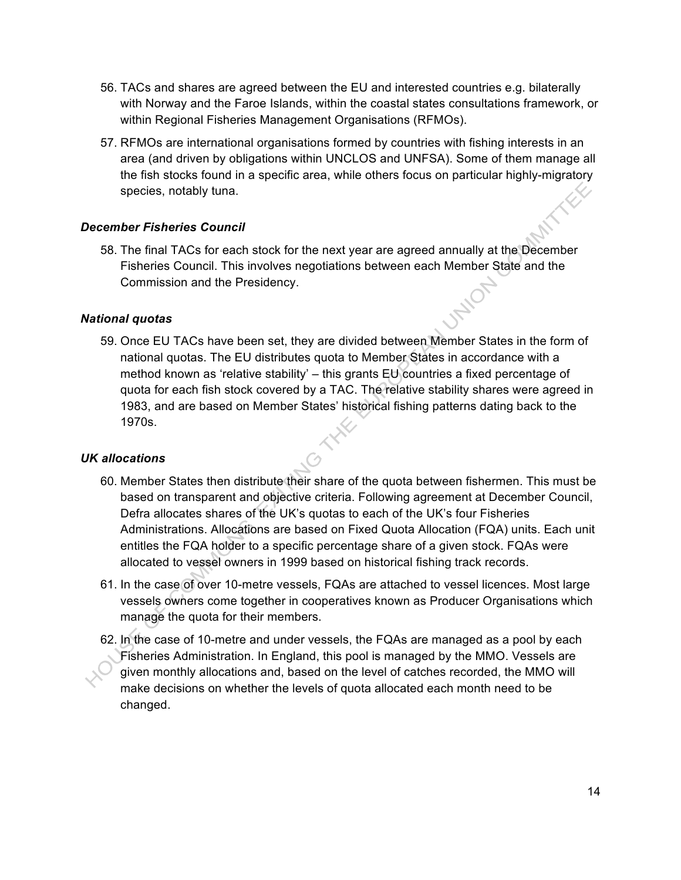- 56. TACs and shares are agreed between the EU and interested countries e.g. bilaterally with Norway and the Faroe Islands, within the coastal states consultations framework, or within Regional Fisheries Management Organisations (RFMOs).
- 57. RFMOs are international organisations formed by countries with fishing interests in an area (and driven by obligations within UNCLOS and UNFSA). Some of them manage all the fish stocks found in a specific area, while others focus on particular highly-migratory species, notably tuna.

#### *December Fisheries Council*

58. The final TACs for each stock for the next year are agreed annually at the December Fisheries Council. This involves negotiations between each Member State and the Commission and the Presidency.

#### *National quotas*

59. Once EU TACs have been set, they are divided between Member States in the form of national quotas. The EU distributes quota to Member States in accordance with a method known as 'relative stability' – this grants EU countries a fixed percentage of quota for each fish stock covered by a TAC. The relative stability shares were agreed in 1983, and are based on Member States' historical fishing patterns dating back to the 1970s.

#### *UK allocations*

- 60. Member States then distribute their share of the quota between fishermen. This must be based on transparent and objective criteria. Following agreement at December Council, Defra allocates shares of the UK's quotas to each of the UK's four Fisheries Administrations. Allocations are based on Fixed Quota Allocation (FQA) units. Each unit entitles the FQA holder to a specific percentage share of a given stock. FQAs were allocated to vessel owners in 1999 based on historical fishing track records.
- 61. In the case of over 10-metre vessels, FQAs are attached to vessel licences. Most large vessels owners come together in cooperatives known as Producer Organisations which manage the quota for their members.
- 62. In the case of 10-metre and under vessels, the FQAs are managed as a pool by each Fisheries Administration. In England, this pool is managed by the MMO. Vessels are given monthly allocations and, based on the level of catches recorded, the MMO will make decisions on whether the levels of quota allocated each month need to be changed.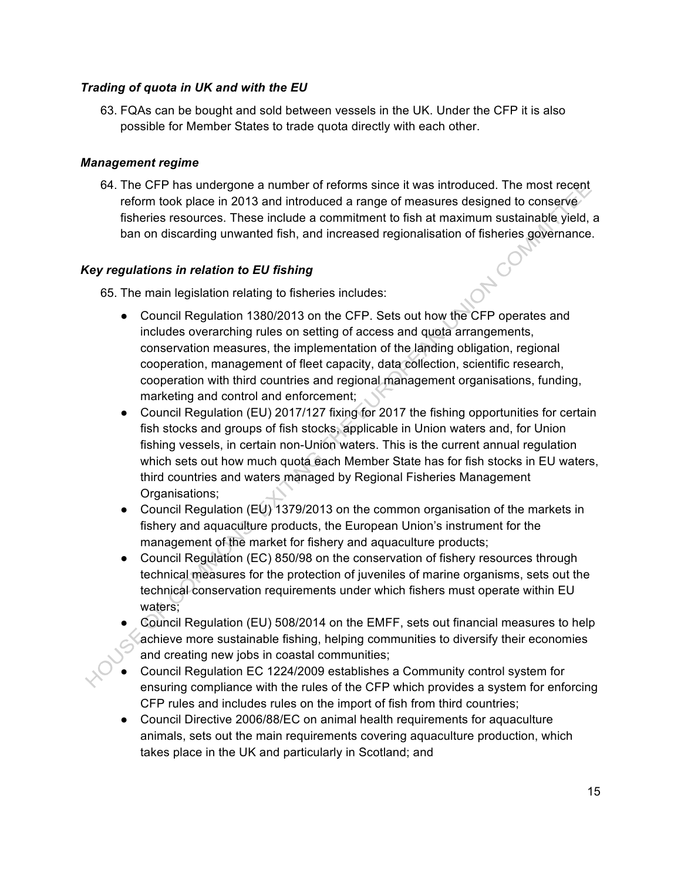#### *Trading of quota in UK and with the EU*

63. FQAs can be bought and sold between vessels in the UK. Under the CFP it is also possible for Member States to trade quota directly with each other.

#### *Management regime*

64. The CFP has undergone a number of reforms since it was introduced. The most recent reform took place in 2013 and introduced a range of measures designed to conserve fisheries resources. These include a commitment to fish at maximum sustainable yield, a ban on discarding unwanted fish, and increased regionalisation of fisheries governance.

#### *Key regulations in relation to EU fishing*

65. The main legislation relating to fisheries includes:

- Council Regulation 1380/2013 on the CFP. Sets out how the CFP operates and includes overarching rules on setting of access and quota arrangements, conservation measures, the implementation of the landing obligation, regional cooperation, management of fleet capacity, data collection, scientific research, cooperation with third countries and regional management organisations, funding, marketing and control and enforcement;
- Council Regulation (EU) 2017/127 fixing for 2017 the fishing opportunities for certain fish stocks and groups of fish stocks, applicable in Union waters and, for Union fishing vessels, in certain non-Union waters. This is the current annual regulation which sets out how much quota each Member State has for fish stocks in EU waters, third countries and waters managed by Regional Fisheries Management Organisations;
- Council Regulation (EU) 1379/2013 on the common organisation of the markets in fishery and aquaculture products, the European Union's instrument for the management of the market for fishery and aquaculture products;
- Council Regulation (EC) 850/98 on the conservation of fishery resources through technical measures for the protection of juveniles of marine organisms, sets out the technical conservation requirements under which fishers must operate within EU waters;
- Council Regulation (EU) 508/2014 on the EMFF, sets out financial measures to help achieve more sustainable fishing, helping communities to diversify their economies and creating new jobs in coastal communities;
- Council Regulation EC 1224/2009 establishes a Community control system for ensuring compliance with the rules of the CFP which provides a system for enforcing CFP rules and includes rules on the import of fish from third countries;
- Council Directive 2006/88/EC on animal health requirements for aquaculture animals, sets out the main requirements covering aquaculture production, which takes place in the UK and particularly in Scotland; and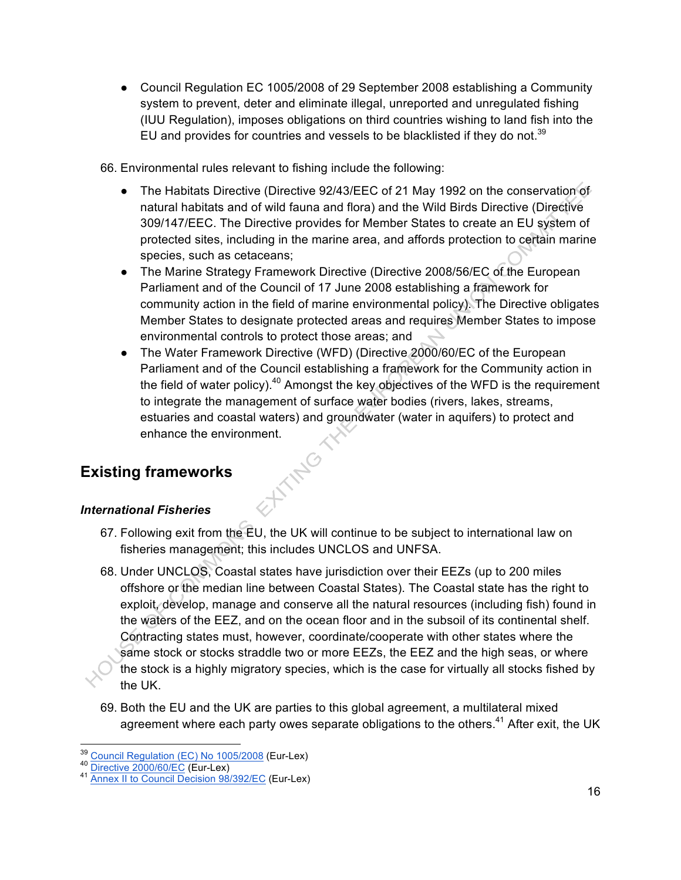● Council Regulation EC 1005/2008 of 29 September 2008 establishing a Community system to prevent, deter and eliminate illegal, unreported and unregulated fishing (IUU Regulation), imposes obligations on third countries wishing to land fish into the EU and provides for countries and vessels to be blacklisted if they do not.<sup>39</sup>

66. Environmental rules relevant to fishing include the following:

- The Habitats Directive (Directive 92/43/EEC of 21 May 1992 on the conservation of natural habitats and of wild fauna and flora) and the Wild Birds Directive (Directive 309/147/EEC. The Directive provides for Member States to create an EU system of protected sites, including in the marine area, and affords protection to certain marine species, such as cetaceans;
- The Marine Strategy Framework Directive (Directive 2008/56/EC of the European Parliament and of the Council of 17 June 2008 establishing a framework for community action in the field of marine environmental policy). The Directive obligates Member States to designate protected areas and requires Member States to impose environmental controls to protect those areas; and
- The Water Framework Directive (WFD) (Directive 2000/60/EC of the European Parliament and of the Council establishing a framework for the Community action in the field of water policy). $40$  Amongst the key objectives of the WFD is the requirement to integrate the management of surface water bodies (rivers, lakes, streams, estuaries and coastal waters) and groundwater (water in aquifers) to protect and enhance the environment.

# **Existing frameworks**

## *International Fisheries*

67. Following exit from the EU, the UK will continue to be subject to international law on fisheries management; this includes UNCLOS and UNFSA.

**ATTAIG** 

- 68. Under UNCLOS, Coastal states have jurisdiction over their EEZs (up to 200 miles offshore or the median line between Coastal States). The Coastal state has the right to exploit, develop, manage and conserve all the natural resources (including fish) found in the waters of the EEZ, and on the ocean floor and in the subsoil of its continental shelf. Contracting states must, however, coordinate/cooperate with other states where the same stock or stocks straddle two or more EEZs, the EEZ and the high seas, or where the stock is a highly migratory species, which is the case for virtually all stocks fished by the UK.
- 69. Both the EU and the UK are parties to this global agreement, a multilateral mixed agreement where each party owes separate obligations to the others.<sup>41</sup> After exit, the UK

<sup>&</sup>lt;sup>39</sup> Council Regulation (EC) No 1005/2008 (Eur-Lex)<br><sup>40</sup> Directive 2000/60/EC (Eur-Lex)<br><sup>41</sup> Annex II to Council Decision 98/392/EC (Eur-Lex)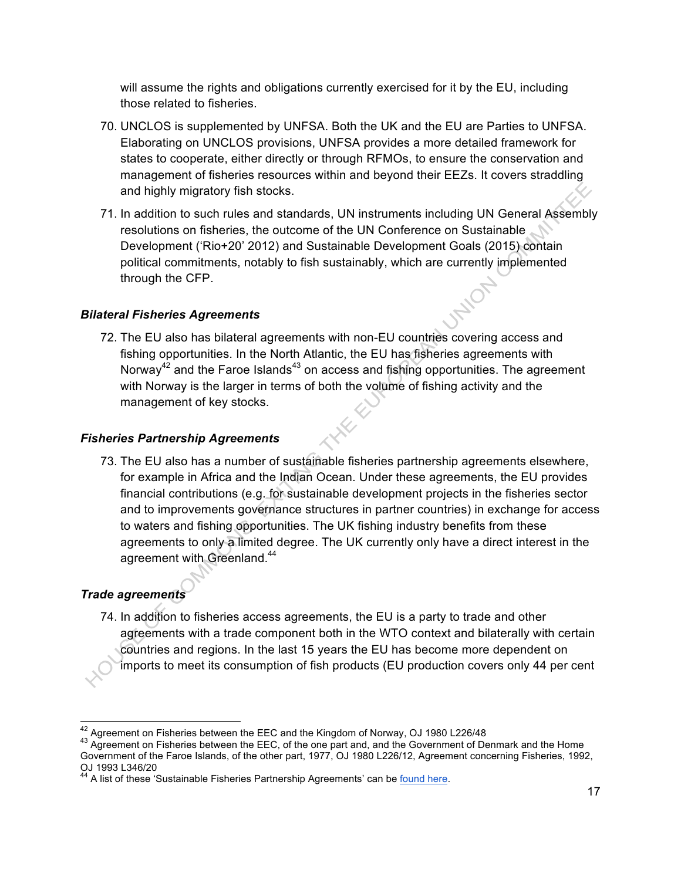will assume the rights and obligations currently exercised for it by the EU, including those related to fisheries.

- 70. UNCLOS is supplemented by UNFSA. Both the UK and the EU are Parties to UNFSA. Elaborating on UNCLOS provisions, UNFSA provides a more detailed framework for states to cooperate, either directly or through RFMOs, to ensure the conservation and management of fisheries resources within and beyond their EEZs. It covers straddling and highly migratory fish stocks.
- 71. In addition to such rules and standards, UN instruments including UN General Assembly resolutions on fisheries, the outcome of the UN Conference on Sustainable Development ('Rio+20' 2012) and Sustainable Development Goals (2015) contain political commitments, notably to fish sustainably, which are currently implemented through the CFP.

## *Bilateral Fisheries Agreements*

72. The EU also has bilateral agreements with non-EU countries covering access and fishing opportunities. In the North Atlantic, the EU has fisheries agreements with Norway<sup>42</sup> and the Faroe Islands<sup>43</sup> on access and fishing opportunities. The agreement with Norway is the larger in terms of both the volume of fishing activity and the management of key stocks.

#### *Fisheries Partnership Agreements*

73. The EU also has a number of sustainable fisheries partnership agreements elsewhere, for example in Africa and the Indian Ocean. Under these agreements, the EU provides financial contributions (e.g. for sustainable development projects in the fisheries sector and to improvements governance structures in partner countries) in exchange for access to waters and fishing opportunities. The UK fishing industry benefits from these agreements to only a limited degree. The UK currently only have a direct interest in the agreement with Greenland.<sup>44</sup>

## *Trade agreements*

74. In addition to fisheries access agreements, the EU is a party to trade and other agreements with a trade component both in the WTO context and bilaterally with certain countries and regions. In the last 15 years the EU has become more dependent on imports to meet its consumption of fish products (EU production covers only 44 per cent

<sup>&</sup>lt;sup>42</sup> Agreement on Fisheries between the EEC and the Kingdom of Norway, OJ 1980 L226/48<br><sup>43</sup> Agreement on Fisheries between the EEC, of the one part and, and the Government of Denmark and the Home Government of the Faroe Islands, of the other part, 1977, OJ 1980 L226/12, Agreement concerning Fisheries, 1992, OJ 1993 L346/20

<sup>&</sup>lt;sup>44</sup> A list of these 'Sustainable Fisheries Partnership Agreements' can be found here.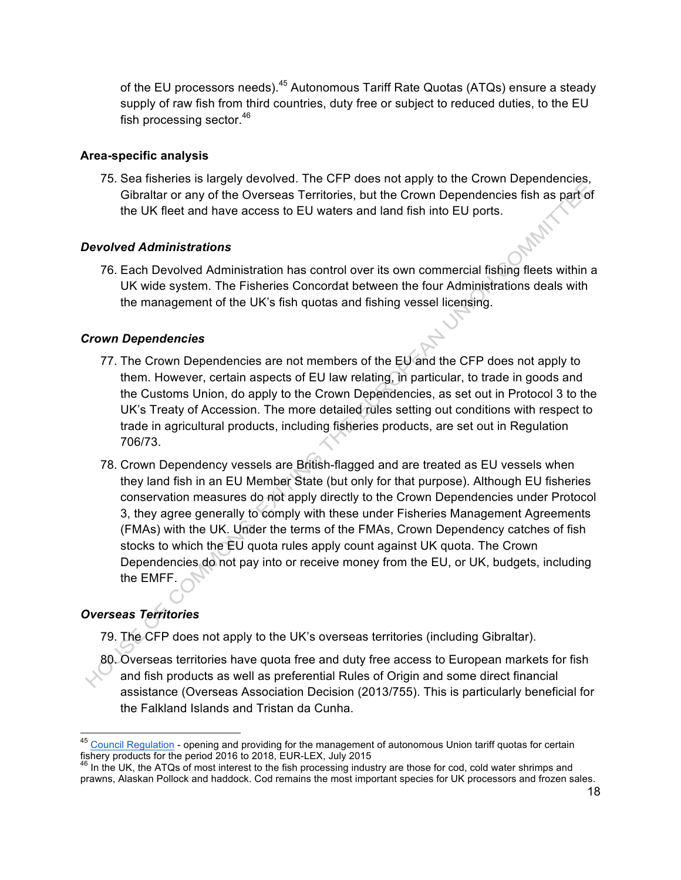of the EU processors needs).<sup>45</sup> Autonomous Tariff Rate Quotas (ATQs) ensure a steady supply of raw fish from third countries, duty free or subject to reduced duties, to the EU fish processing sector.<sup>46</sup>

#### **Area-specific analysis**

75. Sea fisheries is largely devolved. The CFP does not apply to the Crown Dependencies, Gibraltar or any of the Overseas Territories, but the Crown Dependencies fish as part of the UK fleet and have access to EU waters and land fish into EU ports.

#### *Devolved Administrations*

76. Each Devolved Administration has control over its own commercial fishing fleets within a UK wide system. The Fisheries Concordat between the four Administrations deals with the management of the UK's fish quotas and fishing vessel licensing.

#### *Crown Dependencies*

- 77. The Crown Dependencies are not members of the EU and the CFP does not apply to them. However, certain aspects of EU law relating, in particular, to trade in goods and the Customs Union, do apply to the Crown Dependencies, as set out in Protocol 3 to the UK's Treaty of Accession. The more detailed rules setting out conditions with respect to trade in agricultural products, including fisheries products, are set out in Regulation 706/73.
- 78. Crown Dependency vessels are British-flagged and are treated as EU vessels when they land fish in an EU Member State (but only for that purpose). Although EU fisheries conservation measures do not apply directly to the Crown Dependencies under Protocol 3, they agree generally to comply with these under Fisheries Management Agreements (FMAs) with the UK. Under the terms of the FMAs, Crown Dependency catches of fish stocks to which the EU quota rules apply count against UK quota. The Crown Dependencies do not pay into or receive money from the EU, or UK, budgets, including the EMFF.

## *Overseas Territories*

- 79. The CFP does not apply to the UK's overseas territories (including Gibraltar).
- 80. Overseas territories have quota free and duty free access to European markets for fish and fish products as well as preferential Rules of Origin and some direct financial assistance (Overseas Association Decision (2013/755). This is particularly beneficial for the Falkland Islands and Tristan da Cunha.

<sup>&</sup>lt;sup>45</sup> Council Regulation - opening and providing for the management of autonomous Union tariff quotas for certain fishery products for the period 2016 to 2018, EUR-LEX, July 2015

 $46$  In the UK, the ATQs of most interest to the fish processing industry are those for cod, cold water shrimps and prawns, Alaskan Pollock and haddock. Cod remains the most important species for UK processors and frozen sales.